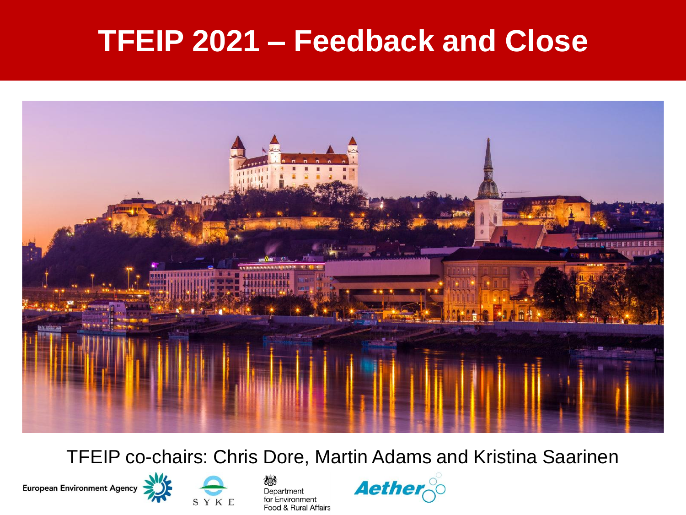### **TFEIP 2021 – Feedback and Close**



TFEIP co-chairs: Chris Dore, Martin Adams and Kristina Saarinen







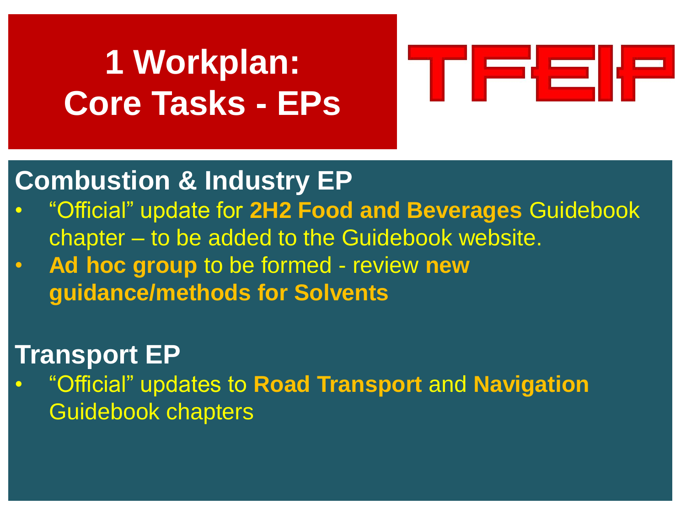# **1 Workplan: Core Tasks - EPs**



### **Combustion & Industry EP**

- "Official" update for **2H2 Food and Beverages** Guidebook chapter – to be added to the Guidebook website.
- **Ad hoc group** to be formed review **new guidance/methods for Solvents**

#### **Transport EP**

• "Official" updates to **Road Transport** and **Navigation** Guidebook chapters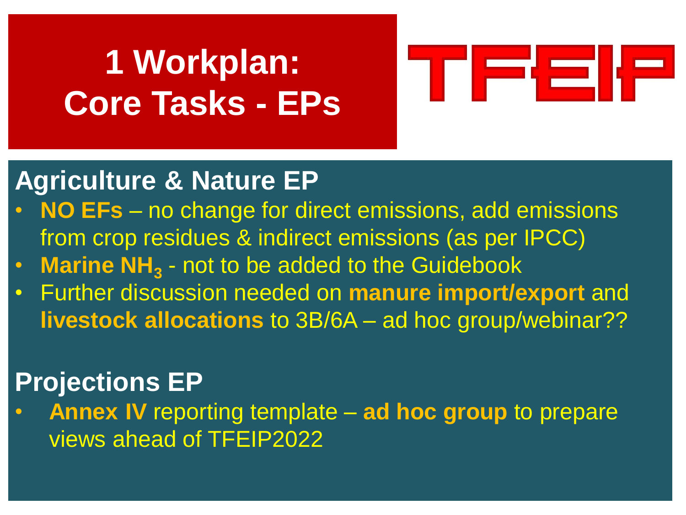# **1 Workplan: Core Tasks - EPs**



### **Agriculture & Nature EP**

- **NO EFs**  no change for direct emissions, add emissions from crop residues & indirect emissions (as per IPCC)
- **Marine NH**<sub>3</sub> not to be added to the Guidebook
- Further discussion needed on **manure import/export** and **livestock allocations** to 3B/6A – ad hoc group/webinar??

### **Projections EP**

• **Annex IV** reporting template – **ad hoc group** to prepare views ahead of TFEIP2022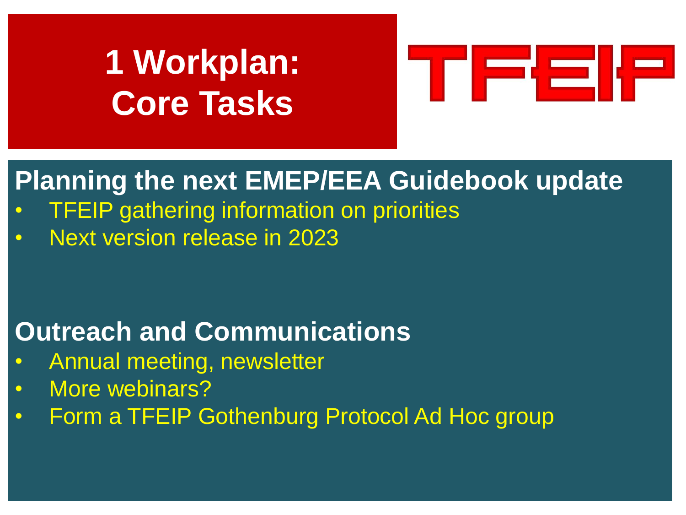## **1 Workplan: Core Tasks**



### **Planning the next EMEP/EEA Guidebook update**

- **TFEIP gathering information on priorities**
- Next version release in 2023

### **Outreach and Communications**

- Annual meeting, newsletter
- More webinars?
- Form a TFEIP Gothenburg Protocol Ad Hoc group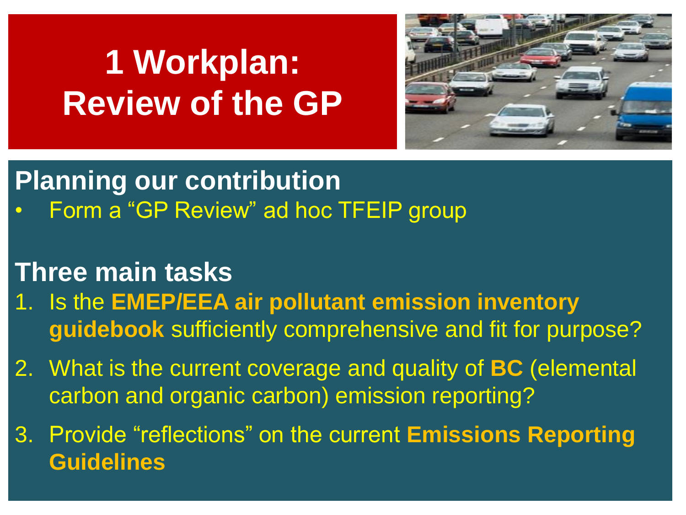# **1 Workplan: Review of the GP**



### **Planning our contribution**

• Form a "GP Review" ad hoc TFEIP group

#### **Three main tasks**

- 1. Is the **EMEP/EEA air pollutant emission inventory guidebook** sufficiently comprehensive and fit for purpose?
- 2. What is the current coverage and quality of **BC** (elemental carbon and organic carbon) emission reporting?
- 3. Provide "reflections" on the current **Emissions Reporting Guidelines**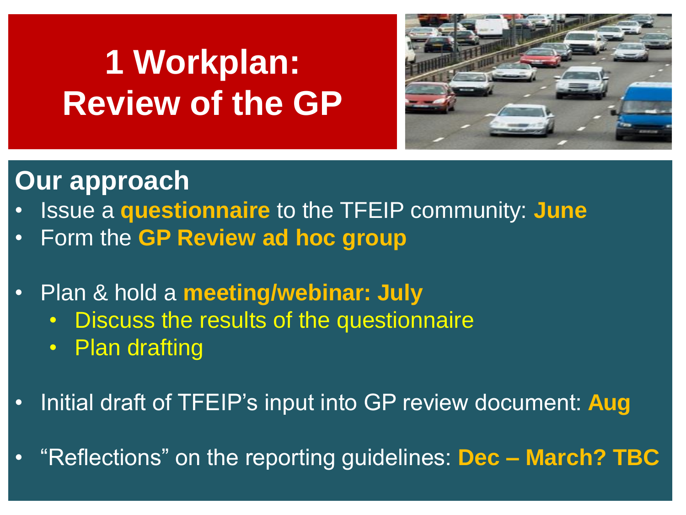# **1 Workplan: Review of the GP**



#### **Our approach**

- Issue a **questionnaire** to the TFEIP community: **June**
- Form the **GP Review ad hoc group**
- Plan & hold a **meeting/webinar: July**
	- Discuss the results of the questionnaire
	- Plan drafting
- Initial draft of TFEIP's input into GP review document: **Aug**
- "Reflections" on the reporting guidelines: **Dec – March? TBC**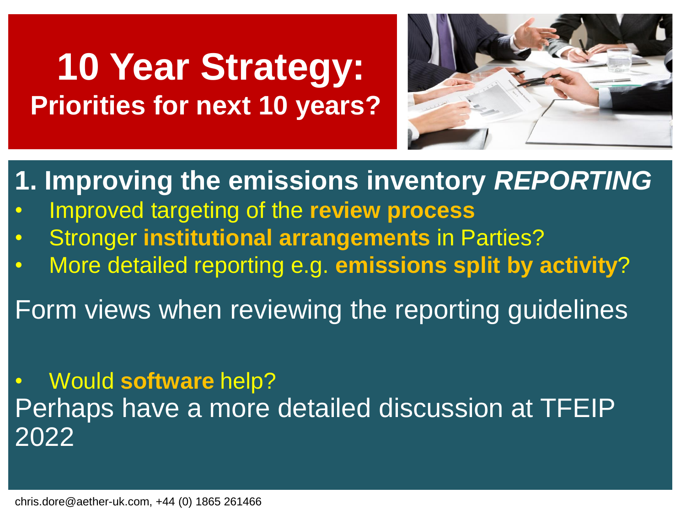### **10 Year Strategy: Priorities for next 10 years?**



**1. Improving the emissions inventory** *REPORTING*

- Improved targeting of the **review process**
- Stronger **institutional arrangements** in Parties?
- More detailed reporting e.g. **emissions split by activity**?

Form views when reviewing the reporting guidelines

• Would **software** help? Perhaps have a more detailed discussion at TFEIP 2022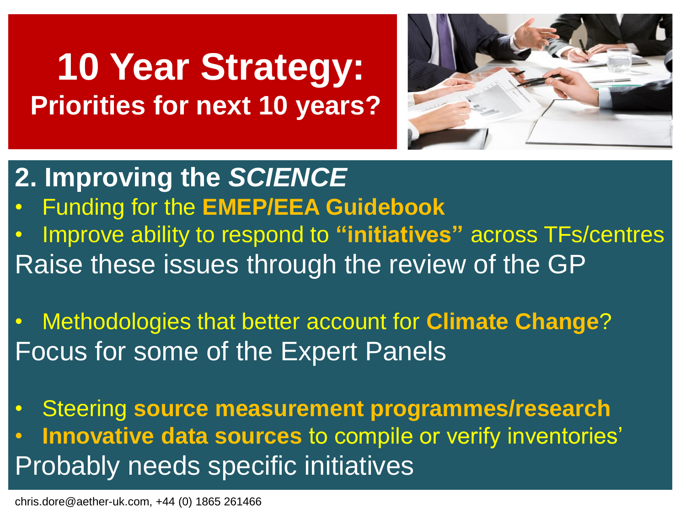### **10 Year Strategy: Priorities for next 10 years?**



- **2. Improving the** *SCIENCE* • Funding for the **EMEP/EEA Guidebook** • Improve ability to respond to **"initiatives"** across TFs/centres Raise these issues through the review of the GP
- Methodologies that better account for **Climate Change**? Focus for some of the Expert Panels
- Steering **source measurement programmes/research** • **Innovative data sources** to compile or verify inventories' Probably needs specific initiatives

chris.dore@aether-uk.com, +44 (0) 1865 261466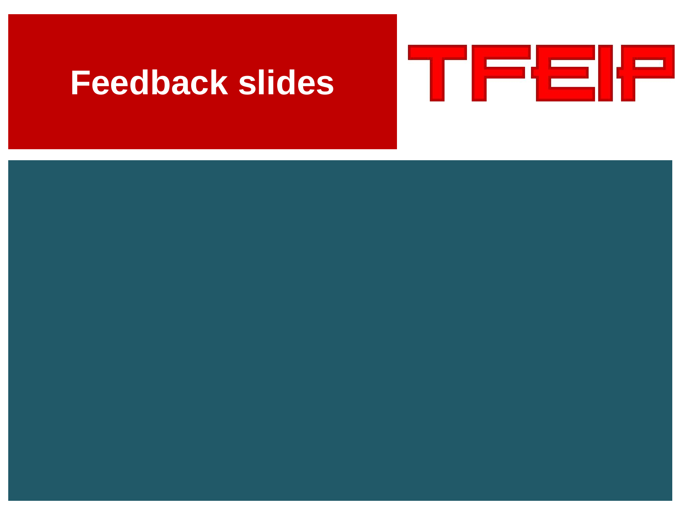### **Feedback slides**